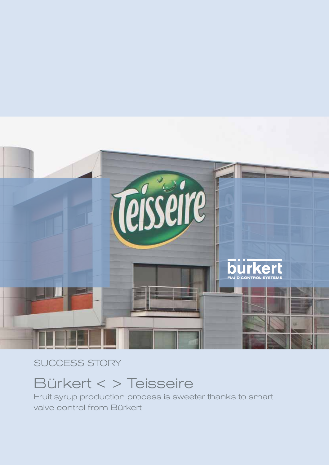

### SUCCESS STORY

## Bürkert < > Teisseire

Fruit syrup production process is sweeter thanks to smart valve control from Bürkert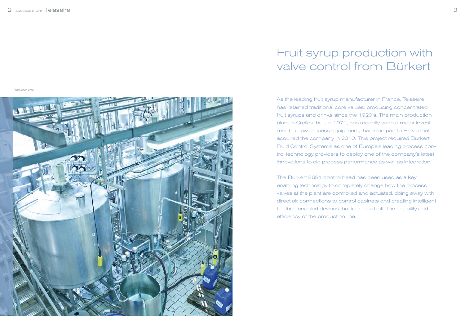As the leading fruit syrup manufacturer in France, Teisseire has retained traditional core values; producing concentrated fruit syrups and drinks since the 1920's. The main production plant in Crolles, built in 1971, has recently seen a major investment in new process equipment, thanks in part to Britvic that acquired the company in 2010. This project required Bürkert Fluid Control Systems as one of Europe's leading process control technology providers to deploy one of the company's latest innovations to aid process performance as well as integration.

The Bürkert 8681 control head has been used as a key enabling technology to completely change how the process valves at the plant are controlled and actuated, doing away with direct air connections to control cabinets and creating intelligent fieldbus enabled devices that increase both the reliability and efficiency of the production line.

# Fruit syrup production with valve control from Bürkert

Production area

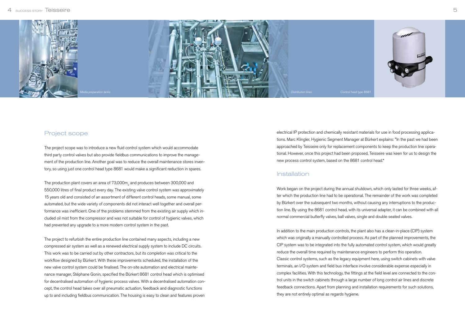electrical IP protection and chemically resistant materials for use in food processing applications. Marc Klingler, Hygienic Segment Manager at Bürkert explains: "In the past we had been approached by Teisseire only for replacement components to keep the production line operational. However, once this project had been proposed, Teisseire was keen for us to design the new process control system, based on the 8681 control head."

#### Installation

Work began on the project during the annual shutdown, which only lasted for three weeks, after which the production line had to be operational. The remainder of the work was completed by Bürkert over the subsequent two months, without causing any interruptions to the production line. By using the 8681 control head, with its universal adapter, it can be combined with all normal commercial butterfly valves, ball valves, single and double seated valves.

In addition to the main production controls, the plant also has a clean-in-place (CIP) system which was originally a manually controlled process. As part of the planned improvements, the CIP system was to be integrated into the fully automated control system, which would greatly reduce the overall time required by maintenance engineers to perform this operation. Classic control systems, such as the legacy equipment here, using switch cabinets with valve terminals, an I/O system and field bus interface involve considerable expense especially in complex facilities. With this technology, the fittings at the field level are connected to the control units in the switch cabinets through a large number of long control air lines and discrete feedback connections. Apart from planning and installation requirements for such solutions, they are not entirely optimal as regards hygiene.

The production plant covers an area of  $73,\!000\mathrm{m}_2$  and produces between 300,000 and 550,000 litres of final product every day. The existing valve control system was approximately 15 years old and consisted of an assortment of different control heads, some manual, some automated, but the wide variety of components did not interact well together and overall performance was inefficient. One of the problems stemmed from the existing air supply which included oil mist from the compressor and was not suitable for control of hygienic valves, which had prevented any upgrade to a more modern control system in the past.

### Project scope

The project scope was to introduce a new fluid control system which would accommodate third party control valves but also provide fieldbus communications to improve the management of the production line. Another goal was to reduce the overall maintenance stores inventory, so using just one control head type 8681 would make a significant reduction in spares.

The project to refurbish the entire production line contained many aspects, including a new compressed air system as well as a renewed electrical supply system to include DC circuits. This work was to be carried out by other contractors, but its completion was critical to the workflow designed by Bürkert. With these improvements scheduled, the installation of the new valve control system could be finalised. The on-site automation and electrical maintenance manager, Stéphane Gonin, specified the Bürkert 8681 control head which is optimised for decentralised automation of hygienic process valves. With a decentralised automation concept, the control head takes over all pneumatic actuation, feedback and diagnostic functions up to and including fieldbus communication. The housing is easy to clean and features proven

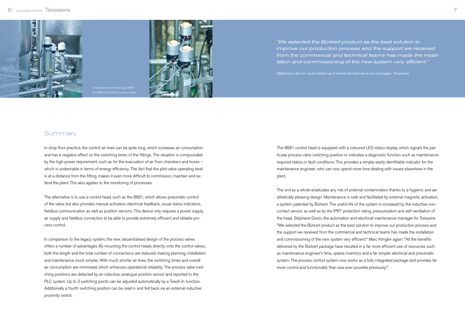





In shop floor practice, the control air lines can be quite long, which increases air consumption and has a negative effect on the switching times of the fittings. The situation is compounded by the high power requirement, such as for the evacuation of air from chambers and hoses – which is undesirable in terms of energy efficiency. The fact that the pilot valve operating level is at a distance from the fitting, makes it even more difficult to commission, maintain and extend the plant. This also applies to the monitoring of processes.

The alternative is to use a control head, such as the 8681, which allows pneumatic control of the valve, but also provides manual activation, electrical feedback, visual status indicators, fieldbus communication as well as position sensors. This device only requires a power supply, air supply and fieldbus connection to be able to provide extremely efficient and reliable process control.

In comparison to the legacy system, the new, decentralised design of the process valves offers a number of advantages. By mounting the control heads directly onto the control valves, both the length and the total number of connections are reduced, making planning, installation and maintenance much simpler. With much shorter air lines, the switching times and overall air consumption are minimised, which enhances operational reliability. The process valve switching positions are detected by an inductive, analogue position sensor and reported to the PLC system. Up to 3 switching points can be adjusted automatically by a Teach-In function. Additionally a fourth switching position can be read in and fed back via an external inductive proximity switch.

"We selected the Bürkert product as the best solution to improve our production process and the support we received from the commercial and technical teams has made the installation and commissioning of the new system very efficient."

The 8681 control head is equipped with a coloured LED status display which signals the particular process valve switching position or indicates a diagnostic function such as maintenance required status or fault conditions. This provides a simple, easily identifiable indicator for the maintenance engineer, who can now spend more time dealing with issues elsewhere in the plant.

The unit as a whole eradicates any risk of external contamination thanks to a hygienic and aesthetically pleasing design. Maintenance is safe and facilitated by external magnetic activation, a system patented by Bürkert. The useful life of the system is increased by the inductive noncontact sensor, as well as by the IP67 protection rating, pressurisation and self-ventilation of the head. Stéphane Gonin, the automation and electrical maintenance manager for Teisseire: "We selected the Bürkert product as the best solution to improve our production process and the support we received from the commercial and technical teams has made the installation and commissioning of the new system very efficient." Marc Klingler again: "All the benefits delivered by the Bürkert package have resulted in a far more efficient use of resources such as maintenance engineer's time, spares inventory and a far simpler electrical and pneumatic system. The process control system now works as a fully integrated package and provides far more control and functionality than was ever possible previously."

(Stéphane Gonin, automation and electrical maintenance manager, Teisseire)

#### **Summary**